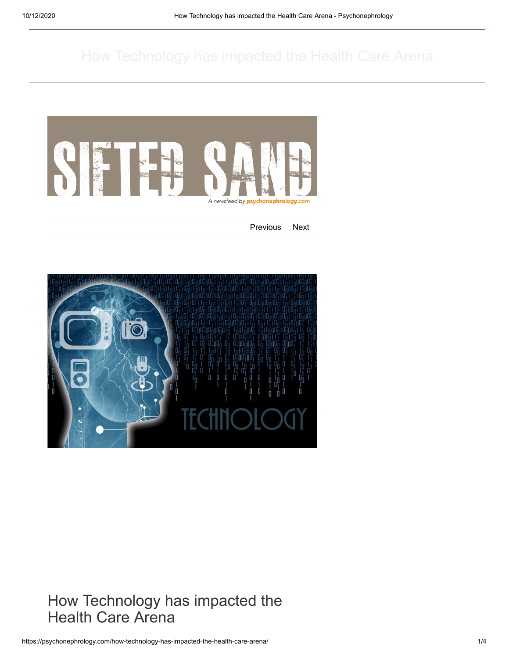

[Previous](https://psychonephrology.com/the-iceberg-a-memoir-by-marion-coutts/) [Next](https://psychonephrology.com/16-essential-reads-about-death-loss-and-hope/)



How Technology has impacted the<br>Health Care Arena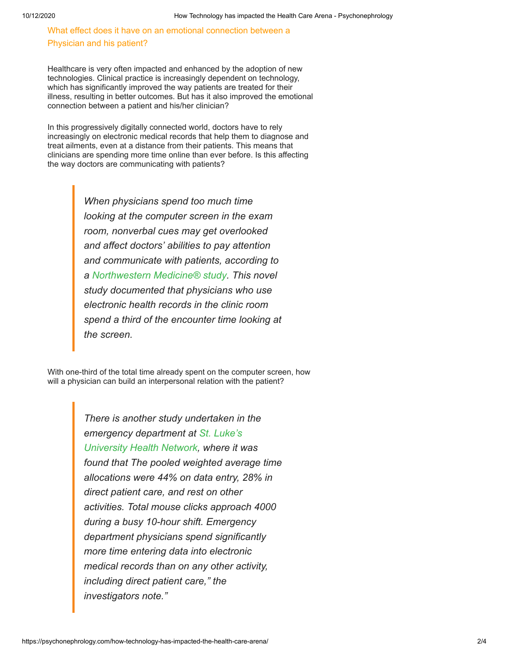What effect does it have on an emotional connection between a Physician and his patient?

Healthcare is very often impacted and enhanced by the adoption of new technologies. Clinical practice is increasingly dependent on technology, which has significantly improved the way patients are treated for their illness, resulting in better outcomes. But has it also improved the emotional connection between a patient and his/her clinician?

In this progressively digitally connected world, doctors have to rely increasingly on electronic medical records that help them to diagnose and treat ailments, even at a distance from their patients. This means that clinicians are spending more time online than ever before. Is this affecting the way doctors are communicating with patients?

> *When physicians spend too much time looking at the computer screen in the exam room, nonverbal cues may get overlooked and affect doctors' abilities to pay attention and communicate with patients, according to a [Northwestern Medicine® study](http://www.northwestern.edu/newscenter/stories/2014/01/do-doctors-spend-too-much-time-looking-at-computer-screen.html). This novel study documented that physicians who use electronic health records in the clinic room spend a third of the encounter time looking at the screen.*

With one-third of the total time already spent on the computer screen, how will a physician can build an interpersonal relation with the patient?

> *There is another study undertaken in the emergency department at St. Luke's [University Health Network, where it w](http://www.ajemjournal.com/article/S0735-6757%2813%2900405-1/abstract)as found that The pooled weighted average time allocations were 44% on data entry, 28% in direct patient care, and rest on other activities. Total mouse clicks approach 4000 during a busy 10-hour shift. Emergency department physicians spend significantly more time entering data into electronic medical records than on any other activity, including direct patient care," the investigators note."*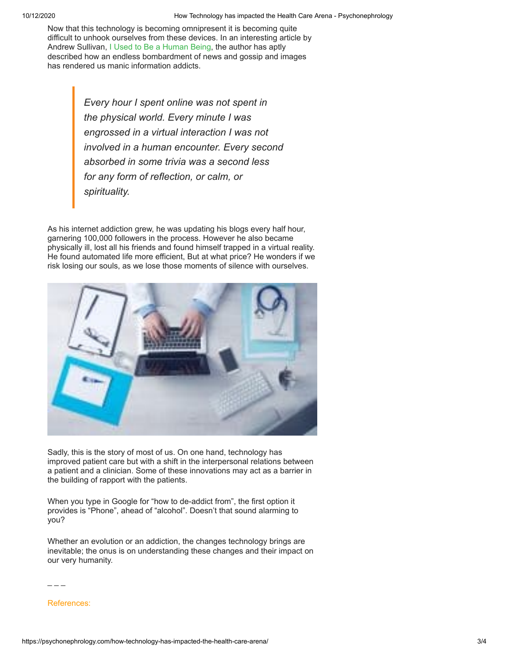Now that this technology is becoming omnipresent it is becoming quite difficult to unhook ourselves from these devices. In an interesting article by Andrew Sullivan, [I Used to Be a Human Being,](http://nymag.com/selectall/2016/09/andrew-sullivan-technology-almost-killed-me.html) the author has aptly described how an endless bombardment of news and gossip and images has rendered us manic information addicts.

> *Every hour I spent online was not spent in the physical world. Every minute I was engrossed in a virtual interaction I was not involved in a human encounter. Every second absorbed in some trivia was a second less for any form of reflection, or calm, or spirituality.*

As his internet addiction grew, he was updating his blogs every half hour, garnering 100,000 followers in the process. However he also became physically ill, lost all his friends and found himself trapped in a virtual reality. He found automated life more efficient, But at what price? He wonders if we risk losing our souls, as we lose those moments of silence with ourselves.



Sadly, this is the story of most of us. On one hand, technology has improved patient care but with a shift in the interpersonal relations between a patient and a clinician. Some of these innovations may act as a barrier in the building of rapport with the patients.

When you type in Google for "how to de-addict from", the first option it provides is "Phone", ahead of "alcohol". Doesn't that sound alarming to you?

Whether an evolution or an addiction, the changes technology brings are inevitable; the onus is on understanding these changes and their impact on our very humanity.

 $\overline{\phantom{a}}$   $\overline{\phantom{a}}$ 

References: